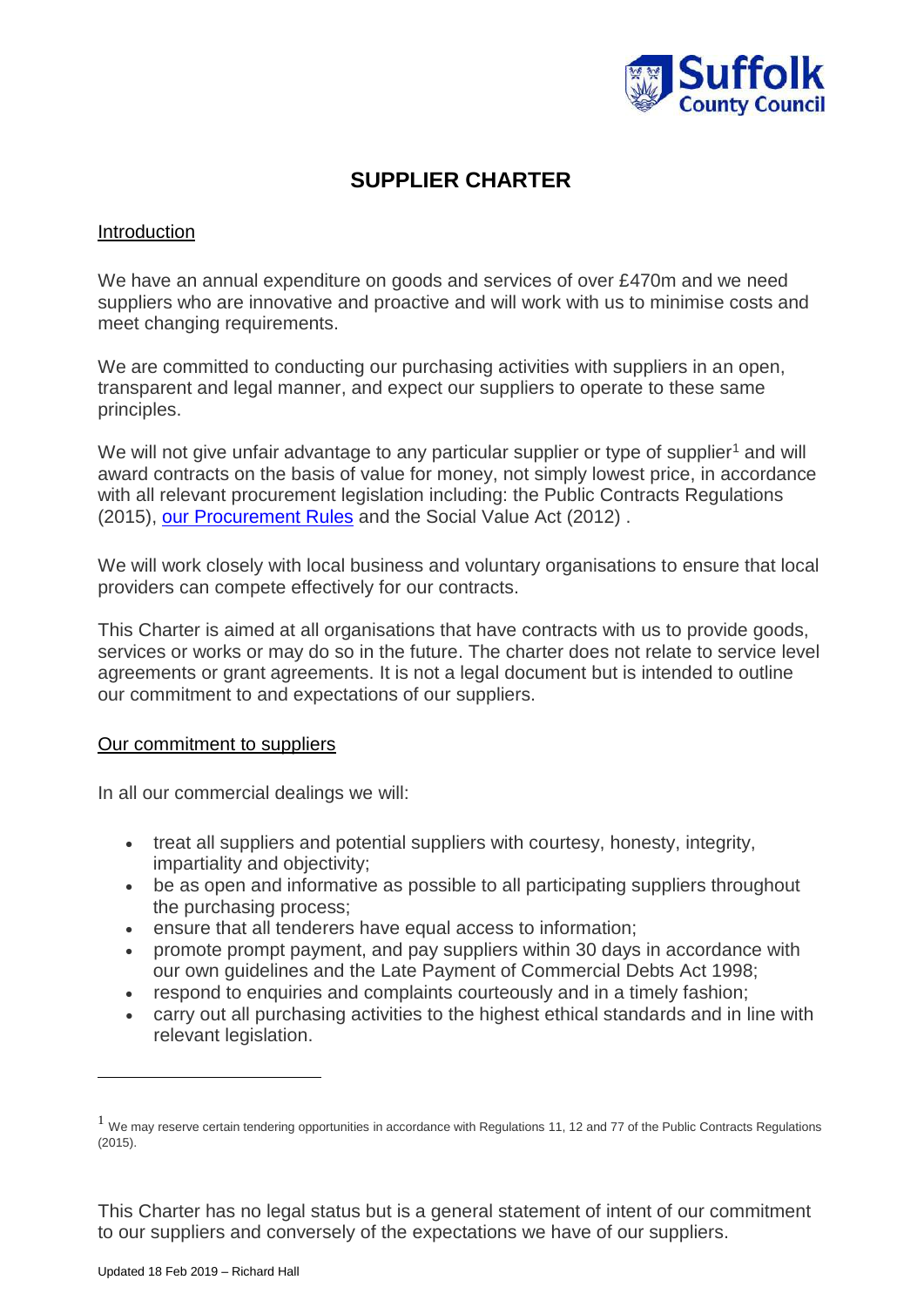

## **SUPPLIER CHARTER**

## **Introduction**

We have an annual expenditure on goods and services of over £470m and we need suppliers who are innovative and proactive and will work with us to minimise costs and meet changing requirements.

We are committed to conducting our purchasing activities with suppliers in an open, transparent and legal manner, and expect our suppliers to operate to these same principles.

We will not give unfair advantage to any particular supplier or type of supplier<sup>1</sup> and will award contracts on the basis of value for money, not simply lowest price, in accordance with all relevant procurement legislation including: the Public Contracts Regulations (2015), our [Procurement Rules](https://www.suffolk.gov.uk/assets/Jobs-careers-and-business/tenders-and-supplying-us/2018-03-13-Suffolk-County-Council-Procurement-Regulations-v2.4.pdf) and the Social Value Act (2012) .

We will work closely with local business and voluntary organisations to ensure that local providers can compete effectively for our contracts.

This Charter is aimed at all organisations that have contracts with us to provide goods, services or works or may do so in the future. The charter does not relate to service level agreements or grant agreements. It is not a legal document but is intended to outline our commitment to and expectations of our suppliers.

## Our commitment to suppliers

In all our commercial dealings we will:

- treat all suppliers and potential suppliers with courtesy, honesty, integrity, impartiality and objectivity;
- be as open and informative as possible to all participating suppliers throughout the purchasing process;
- ensure that all tenderers have equal access to information;
- promote prompt payment, and pay suppliers within 30 days in accordance with our own guidelines and the Late Payment of Commercial Debts Act 1998;
- respond to enquiries and complaints courteously and in a timely fashion;
- carry out all purchasing activities to the highest ethical standards and in line with relevant legislation.

This Charter has no legal status but is a general statement of intent of our commitment to our suppliers and conversely of the expectations we have of our suppliers[.](http://www.suffolk.gov.uk/ONESUFFOLK/Templates/tplInternetStandardPage.aspx?NRMODE=Published&NRORIGINALURL=%2fBusinessAndConsumer%2fProcurementAndTendering%2fLegalAndPolicyFramework%2fSupplierCharter%2ehtm&NRNODEGUID=%7b1E023370-0670-4256-97E7-28E8A7DE0C82%7d&NRCACHEHINT=Guest#_ftnref1#_ftnref1)

<u>.</u>

 $<sup>1</sup>$  We may reserve certain tendering opportunities in accordance with Regulations 11, 12 and 77 of the Public Contracts Regulations</sup> (2015).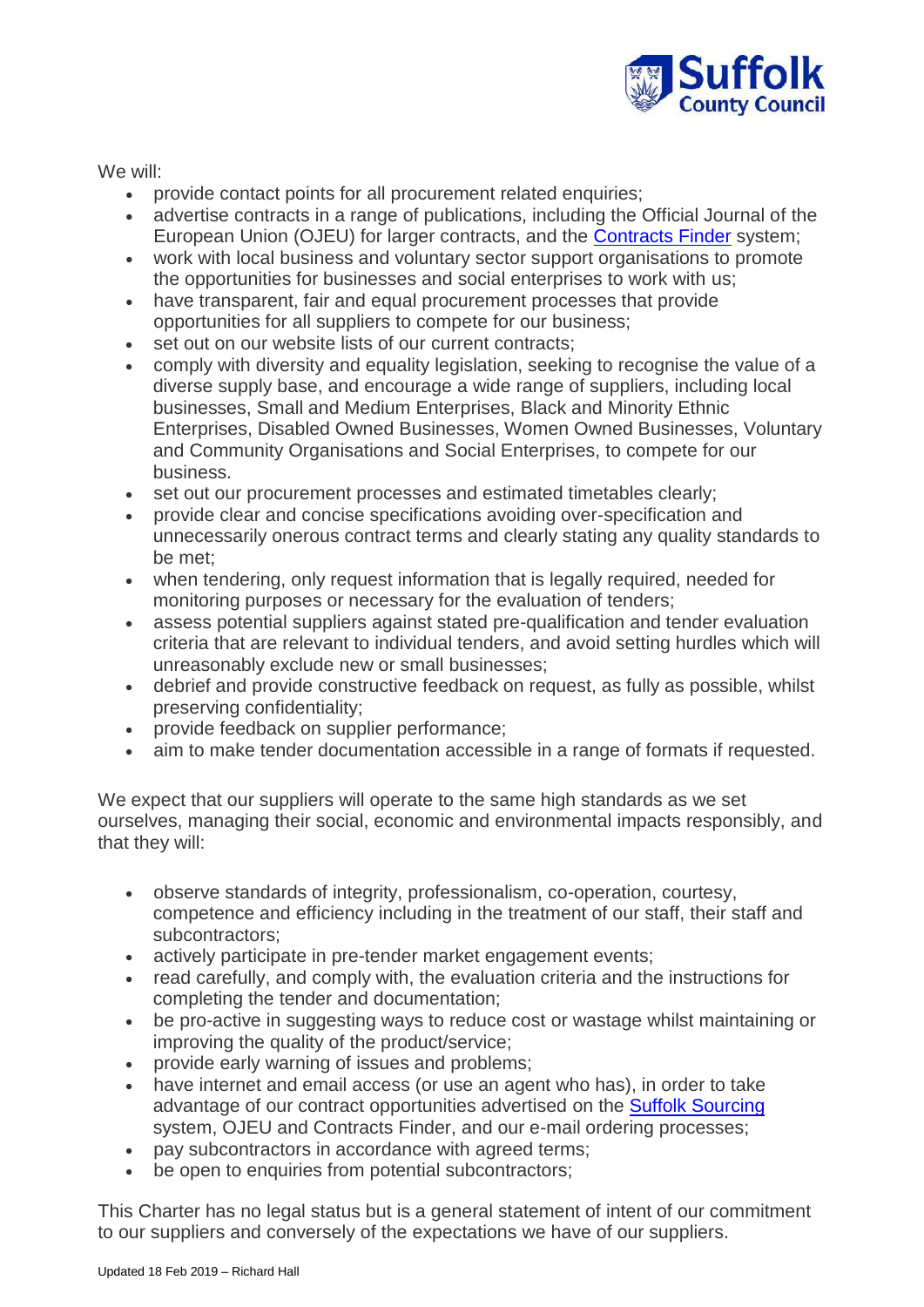

We will:

- provide contact points for all procurement related enquiries;
- advertise contracts in a range of publications, including the Official Journal of the European Union (OJEU) for larger contracts, and the [Contracts Finder](https://www.gov.uk/contracts-finder) system;
- work with local business and voluntary sector support organisations to promote the opportunities for businesses and social enterprises to work with us;
- have transparent, fair and equal procurement processes that provide opportunities for all suppliers to compete for our business;
- set out on our website lists of our current contracts;
- comply with diversity and equality legislation, seeking to recognise the value of a diverse supply base, and encourage a wide range of suppliers, including local businesses, Small and Medium Enterprises, Black and Minority Ethnic Enterprises, Disabled Owned Businesses, Women Owned Businesses, Voluntary and Community Organisations and Social Enterprises, to compete for our business.
- set out our procurement processes and estimated timetables clearly;
- provide clear and concise specifications avoiding over-specification and unnecessarily onerous contract terms and clearly stating any quality standards to be met;
- when tendering, only request information that is legally required, needed for monitoring purposes or necessary for the evaluation of tenders;
- assess potential suppliers against stated pre-qualification and tender evaluation criteria that are relevant to individual tenders, and avoid setting hurdles which will unreasonably exclude new or small businesses;
- debrief and provide constructive feedback on request, as fully as possible, whilst preserving confidentiality;
- provide feedback on supplier performance;
- aim to make tender documentation accessible in a range of formats if requested.

We expect that our suppliers will operate to the same high standards as we set ourselves, managing their social, economic and environmental impacts responsibly, and that they will:

- observe standards of integrity, professionalism, co-operation, courtesy, competence and efficiency including in the treatment of our staff, their staff and subcontractors;
- actively participate in pre-tender market engagement events;
- read carefully, and comply with, the evaluation criteria and the instructions for completing the tender and documentation;
- be pro-active in suggesting ways to reduce cost or wastage whilst maintaining or improving the quality of the product/service;
- provide early warning of issues and problems;
- have internet and email access (or use an agent who has), in order to take advantage of our contract opportunities advertised on the [Suffolk Sourcing](http://www.suffolksourcing.uk/) system, OJEU and Contracts Finder, and our e-mail ordering processes;
- pay subcontractors in accordance with agreed terms:
- be open to enquiries from potential subcontractors;

This Charter has no legal status but is a general statement of intent of our commitment to our suppliers and conversely of the expectations we have of our suppliers[.](http://www.suffolk.gov.uk/ONESUFFOLK/Templates/tplInternetStandardPage.aspx?NRMODE=Published&NRORIGINALURL=%2fBusinessAndConsumer%2fProcurementAndTendering%2fLegalAndPolicyFramework%2fSupplierCharter%2ehtm&NRNODEGUID=%7b1E023370-0670-4256-97E7-28E8A7DE0C82%7d&NRCACHEHINT=Guest#_ftnref1#_ftnref1)